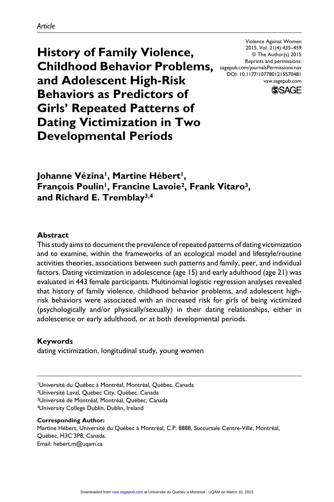**History of Family Violence, Childhood Behavior Problems, and Adolescent High-Risk Behaviors as Predictors of Girls' Repeated Patterns of Dating Victimization in Two Developmental Periods**

Violence Against Women 2015, Vol. 21(4) 435–459 © The Author(s) 2015 Reprints and permissions: sagepub.com/journalsPermissions.nav DOI: 10.1177/1077801215570481 vaw.sagepub.com



Johanne Vézina<sup>1</sup>, Martine Hébert<sup>1</sup>, **François Poulin1, Francine Lavoie2, Frank Vitaro3, and Richard E. Tremblay3,4**

#### **Abstract**

This study aims to document the prevalence of repeated patterns of dating victimization and to examine, within the frameworks of an ecological model and lifestyle/routine activities theories, associations between such patterns and family, peer, and individual factors. Dating victimization in adolescence (age 15) and early adulthood (age 21) was evaluated in 443 female participants. Multinomial logistic regression analyses revealed that history of family violence, childhood behavior problems, and adolescent highrisk behaviors were associated with an increased risk for girls of being victimized (psychologically and/or physically/sexually) in their dating relationships, either in adolescence or early adulthood, or at both developmental periods.

### **Keywords**

dating victimization, longitudinal study, young women

1Université du Québec à Montréal, Montréal, Québec, Canada 2Université Laval, Québec City, Québec, Canada 3Université de Montréal, Montréal, Québec, Canada 4University College Dublin, Dublin, Ireland

#### **Corresponding Author:**

Martine Hébert, Université du Québec à Montréal, C.P. 8888, Succursale Centre-Ville, Montréal, Québec, H3C 3P8, Canada. Email: [hebert.m@uqam.ca](mailto:hebert.m@uqam.ca)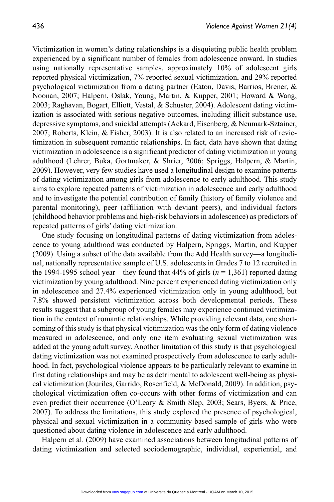Victimization in women's dating relationships is a disquieting public health problem experienced by a significant number of females from adolescence onward. In studies using nationally representative samples, approximately 10% of adolescent girls reported physical victimization, 7% reported sexual victimization, and 29% reported psychological victimization from a dating partner (Eaton, Davis, Barrios, Brener, & Noonan, 2007; Halpern, Oslak, Young, Martin, & Kupper, 2001; Howard & Wang, 2003; Raghavan, Bogart, Elliott, Vestal, & Schuster, 2004). Adolescent dating victimization is associated with serious negative outcomes, including illicit substance use, depressive symptoms, and suicidal attempts (Ackard, Eisenberg, & Neumark-Sztainer, 2007; Roberts, Klein, & Fisher, 2003). It is also related to an increased risk of revictimization in subsequent romantic relationships. In fact, data have shown that dating victimization in adolescence is a significant predictor of dating victimization in young adulthood (Lehrer, Buka, Gortmaker, & Shrier, 2006; Spriggs, Halpern, & Martin, 2009). However, very few studies have used a longitudinal design to examine patterns of dating victimization among girls from adolescence to early adulthood. This study aims to explore repeated patterns of victimization in adolescence and early adulthood and to investigate the potential contribution of family (history of family violence and parental monitoring), peer (affiliation with deviant peers), and individual factors (childhood behavior problems and high-risk behaviors in adolescence) as predictors of repeated patterns of girls' dating victimization.

One study focusing on longitudinal patterns of dating victimization from adolescence to young adulthood was conducted by Halpern, Spriggs, Martin, and Kupper (2009). Using a subset of the data available from the Add Health survey—a longitudinal, nationally representative sample of U.S. adolescents in Grades 7 to 12 recruited in the 1994-1995 school year—they found that  $44\%$  of girls ( $n = 1,361$ ) reported dating victimization by young adulthood. Nine percent experienced dating victimization only in adolescence and 27.4% experienced victimization only in young adulthood, but 7.8% showed persistent victimization across both developmental periods. These results suggest that a subgroup of young females may experience continued victimization in the context of romantic relationships. While providing relevant data, one shortcoming of this study is that physical victimization was the only form of dating violence measured in adolescence, and only one item evaluating sexual victimization was added at the young adult survey. Another limitation of this study is that psychological dating victimization was not examined prospectively from adolescence to early adulthood. In fact, psychological violence appears to be particularly relevant to examine in first dating relationships and may be as detrimental to adolescent well-being as physical victimization (Jouriles, Garrido, Rosenfield, & McDonald, 2009). In addition, psychological victimization often co-occurs with other forms of victimization and can even predict their occurrence (O'Leary & Smith Slep, 2003; Sears, Byers, & Price, 2007). To address the limitations, this study explored the presence of psychological, physical and sexual victimization in a community-based sample of girls who were questioned about dating violence in adolescence and early adulthood.

Halpern et al. (2009) have examined associations between longitudinal patterns of dating victimization and selected sociodemographic, individual, experiential, and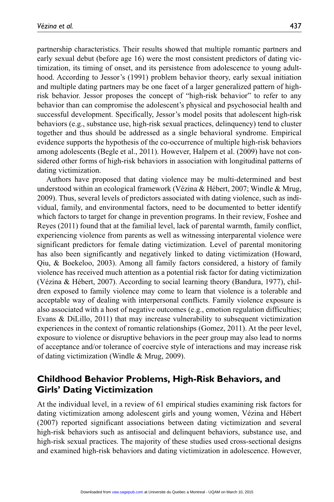partnership characteristics. Their results showed that multiple romantic partners and early sexual debut (before age 16) were the most consistent predictors of dating victimization, its timing of onset, and its persistence from adolescence to young adulthood. According to Jessor's (1991) problem behavior theory, early sexual initiation and multiple dating partners may be one facet of a larger generalized pattern of highrisk behavior. Jessor proposes the concept of "high-risk behavior" to refer to any behavior than can compromise the adolescent's physical and psychosocial health and successful development. Specifically, Jessor's model posits that adolescent high-risk behaviors (e.g., substance use, high-risk sexual practices, delinquency) tend to cluster together and thus should be addressed as a single behavioral syndrome. Empirical evidence supports the hypothesis of the co-occurrence of multiple high-risk behaviors among adolescents (Begle et al., 2011). However, Halpern et al. (2009) have not considered other forms of high-risk behaviors in association with longitudinal patterns of dating victimization.

Authors have proposed that dating violence may be multi-determined and best understood within an ecological framework (Vézina & Hébert, 2007; Windle & Mrug, 2009). Thus, several levels of predictors associated with dating violence, such as individual, family, and environmental factors, need to be documented to better identify which factors to target for change in prevention programs. In their review, Foshee and Reyes (2011) found that at the familial level, lack of parental warmth, family conflict, experiencing violence from parents as well as witnessing interparental violence were significant predictors for female dating victimization. Level of parental monitoring has also been significantly and negatively linked to dating victimization (Howard, Qiu, & Boekeloo, 2003). Among all family factors considered, a history of family violence has received much attention as a potential risk factor for dating victimization (Vézina & Hébert, 2007). According to social learning theory (Bandura, 1977), children exposed to family violence may come to learn that violence is a tolerable and acceptable way of dealing with interpersonal conflicts. Family violence exposure is also associated with a host of negative outcomes (e.g., emotion regulation difficulties; Evans & DiLillo, 2011) that may increase vulnerability to subsequent victimization experiences in the context of romantic relationships (Gomez, 2011). At the peer level, exposure to violence or disruptive behaviors in the peer group may also lead to norms of acceptance and/or tolerance of coercive style of interactions and may increase risk of dating victimization (Windle & Mrug, 2009).

## **Childhood Behavior Problems, High-Risk Behaviors, and Girls' Dating Victimization**

At the individual level, in a review of 61 empirical studies examining risk factors for dating victimization among adolescent girls and young women, Vézina and Hébert (2007) reported significant associations between dating victimization and several high-risk behaviors such as antisocial and delinquent behaviors, substance use, and high-risk sexual practices. The majority of these studies used cross-sectional designs and examined high-risk behaviors and dating victimization in adolescence. However,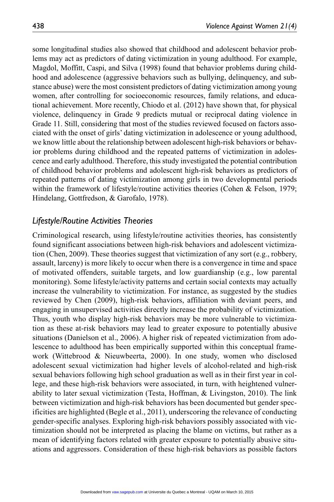some longitudinal studies also showed that childhood and adolescent behavior problems may act as predictors of dating victimization in young adulthood. For example, Magdol, Moffitt, Caspi, and Silva (1998) found that behavior problems during childhood and adolescence (aggressive behaviors such as bullying, delinquency, and substance abuse) were the most consistent predictors of dating victimization among young women, after controlling for socioeconomic resources, family relations, and educational achievement. More recently, Chiodo et al. (2012) have shown that, for physical violence, delinquency in Grade 9 predicts mutual or reciprocal dating violence in Grade 11. Still, considering that most of the studies reviewed focused on factors associated with the onset of girls' dating victimization in adolescence or young adulthood, we know little about the relationship between adolescent high-risk behaviors or behavior problems during childhood and the repeated patterns of victimization in adolescence and early adulthood. Therefore, this study investigated the potential contribution of childhood behavior problems and adolescent high-risk behaviors as predictors of repeated patterns of dating victimization among girls in two developmental periods within the framework of lifestyle/routine activities theories (Cohen & Felson, 1979; Hindelang, Gottfredson, & Garofalo, 1978).

### *Lifestyle/Routine Activities Theories*

Criminological research, using lifestyle/routine activities theories, has consistently found significant associations between high-risk behaviors and adolescent victimization (Chen, 2009). These theories suggest that victimization of any sort (e.g., robbery, assault, larceny) is more likely to occur when there is a convergence in time and space of motivated offenders, suitable targets, and low guardianship (e.g., low parental monitoring). Some lifestyle/activity patterns and certain social contexts may actually increase the vulnerability to victimization. For instance, as suggested by the studies reviewed by Chen (2009), high-risk behaviors, affiliation with deviant peers, and engaging in unsupervised activities directly increase the probability of victimization. Thus, youth who display high-risk behaviors may be more vulnerable to victimization as these at-risk behaviors may lead to greater exposure to potentially abusive situations (Danielson et al., 2006). A higher risk of repeated victimization from adolescence to adulthood has been empirically supported within this conceptual framework (Wittebrood & Nieuwbeerta, 2000). In one study, women who disclosed adolescent sexual victimization had higher levels of alcohol-related and high-risk sexual behaviors following high school graduation as well as in their first year in college, and these high-risk behaviors were associated, in turn, with heightened vulnerability to later sexual victimization (Testa, Hoffman, & Livingston, 2010). The link between victimization and high-risk behaviors has been documented but gender specificities are highlighted (Begle et al., 2011), underscoring the relevance of conducting gender-specific analyses. Exploring high-risk behaviors possibly associated with victimization should not be interpreted as placing the blame on victims, but rather as a mean of identifying factors related with greater exposure to potentially abusive situations and aggressors. Consideration of these high-risk behaviors as possible factors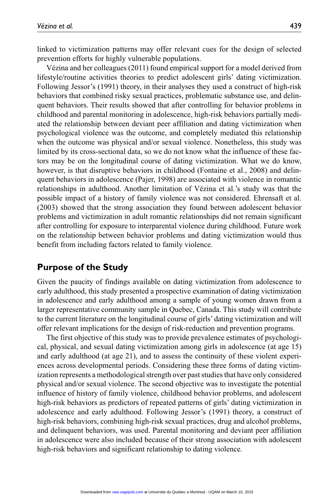linked to victimization patterns may offer relevant cues for the design of selected prevention efforts for highly vulnerable populations.

Vézina and her colleagues (2011) found empirical support for a model derived from lifestyle/routine activities theories to predict adolescent girls' dating victimization. Following Jessor's (1991) theory, in their analyses they used a construct of high-risk behaviors that combined risky sexual practices, problematic substance use, and delinquent behaviors. Their results showed that after controlling for behavior problems in childhood and parental monitoring in adolescence, high-risk behaviors partially mediated the relationship between deviant peer affiliation and dating victimization when psychological violence was the outcome, and completely mediated this relationship when the outcome was physical and/or sexual violence. Nonetheless, this study was limited by its cross-sectional data, so we do not know what the influence of these factors may be on the longitudinal course of dating victimization. What we do know, however, is that disruptive behaviors in childhood (Fontaine et al., 2008) and delinquent behaviors in adolescence (Pajer, 1998) are associated with violence in romantic relationships in adulthood. Another limitation of Vézina et al.'s study was that the possible impact of a history of family violence was not considered. Ehrensaft et al. (2003) showed that the strong association they found between adolescent behavior problems and victimization in adult romantic relationships did not remain significant after controlling for exposure to interparental violence during childhood. Future work on the relationship between behavior problems and dating victimization would thus benefit from including factors related to family violence.

### **Purpose of the Study**

Given the paucity of findings available on dating victimization from adolescence to early adulthood, this study presented a prospective examination of dating victimization in adolescence and early adulthood among a sample of young women drawn from a larger representative community sample in Quebec, Canada. This study will contribute to the current literature on the longitudinal course of girls' dating victimization and will offer relevant implications for the design of risk-reduction and prevention programs.

The first objective of this study was to provide prevalence estimates of psychological, physical, and sexual dating victimization among girls in adolescence (at age 15) and early adulthood (at age 21), and to assess the continuity of these violent experiences across developmental periods. Considering these three forms of dating victimization represents a methodological strength over past studies that have only considered physical and/or sexual violence. The second objective was to investigate the potential influence of history of family violence, childhood behavior problems, and adolescent high-risk behaviors as predictors of repeated patterns of girls' dating victimization in adolescence and early adulthood. Following Jessor's (1991) theory, a construct of high-risk behaviors, combining high-risk sexual practices, drug and alcohol problems, and delinquent behaviors, was used. Parental monitoring and deviant peer affiliation in adolescence were also included because of their strong association with adolescent high-risk behaviors and significant relationship to dating violence.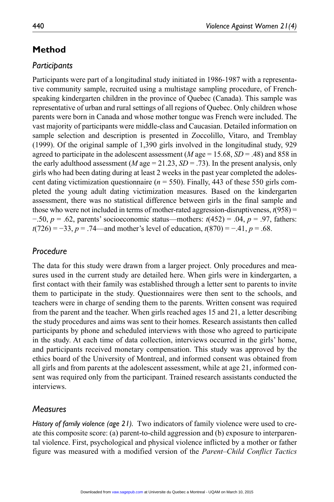# **Method**

## *Participants*

Participants were part of a longitudinal study initiated in 1986-1987 with a representative community sample, recruited using a multistage sampling procedure, of Frenchspeaking kindergarten children in the province of Quebec (Canada). This sample was representative of urban and rural settings of all regions of Quebec. Only children whose parents were born in Canada and whose mother tongue was French were included. The vast majority of participants were middle-class and Caucasian. Detailed information on sample selection and description is presented in Zoccolillo, Vitaro, and Tremblay (1999). Of the original sample of 1,390 girls involved in the longitudinal study, 929 agreed to participate in the adolescent assessment (*M* age = 15.68, *SD* = .48) and 858 in the early adulthood assessment (*M* age = 21.23, *SD* = .73). In the present analysis, only girls who had been dating during at least 2 weeks in the past year completed the adolescent dating victimization questionnaire ( $n = 550$ ). Finally, 443 of these 550 girls completed the young adult dating victimization measures. Based on the kindergarten assessment, there was no statistical difference between girls in the final sample and those who were not included in terms of mother-rated aggression-disruptiveness, *t*(958) = −.50, *p* = .62, parents' socioeconomic status—mothers: *t*(452) = .04, *p* = .97, fathers: *t*(726) = −33, *p* = .74—and mother's level of education, *t*(870) = −.41, *p* = .68.

## *Procedure*

The data for this study were drawn from a larger project. Only procedures and measures used in the current study are detailed here. When girls were in kindergarten, a first contact with their family was established through a letter sent to parents to invite them to participate in the study. Questionnaires were then sent to the schools, and teachers were in charge of sending them to the parents. Written consent was required from the parent and the teacher. When girls reached ages 15 and 21, a letter describing the study procedures and aims was sent to their homes. Research assistants then called participants by phone and scheduled interviews with those who agreed to participate in the study. At each time of data collection, interviews occurred in the girls' home, and participants received monetary compensation. This study was approved by the ethics board of the University of Montreal, and informed consent was obtained from all girls and from parents at the adolescent assessment, while at age 21, informed consent was required only from the participant. Trained research assistants conducted the interviews.

## *Measures*

*History of family violence (age 21).* Two indicators of family violence were used to create this composite score: (a) parent-to-child aggression and (b) exposure to interparental violence. First, psychological and physical violence inflicted by a mother or father figure was measured with a modified version of the *Parent–Child Conflict Tactics*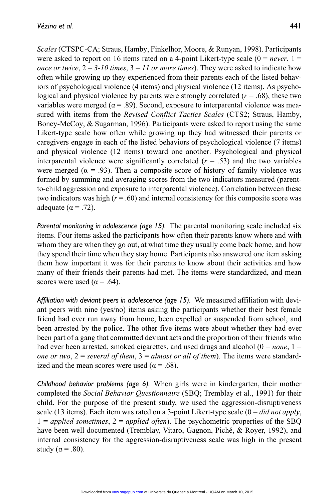*Scales* (CTSPC-CA; Straus, Hamby, Finkelhor, Moore, & Runyan, 1998). Participants were asked to report on 16 items rated on a 4-point Likert-type scale  $(0 = never, 1 = 1)$ *once or twice*,  $2 = 3\times10$  *times*,  $3 = 11$  *or more times*). They were asked to indicate how often while growing up they experienced from their parents each of the listed behaviors of psychological violence (4 items) and physical violence (12 items). As psychological and physical violence by parents were strongly correlated  $(r = .68)$ , these two variables were merged ( $\alpha$  = .89). Second, exposure to interparental violence was measured with items from the *Revised Conflict Tactics Scales* (CTS2; Straus, Hamby, Boney-McCoy, & Sugarman, 1996). Participants were asked to report using the same Likert-type scale how often while growing up they had witnessed their parents or caregivers engage in each of the listed behaviors of psychological violence (7 items) and physical violence (12 items) toward one another. Psychological and physical interparental violence were significantly correlated  $(r = .53)$  and the two variables were merged ( $\alpha$  = .93). Then a composite score of history of family violence was formed by summing and averaging scores from the two indicators measured (parentto-child aggression and exposure to interparental violence). Correlation between these two indicators was high  $(r = .60)$  and internal consistency for this composite score was adequate ( $\alpha = .72$ ).

*Parental monitoring in adolescence (age 15).* The parental monitoring scale included six items. Four items asked the participants how often their parents know where and with whom they are when they go out, at what time they usually come back home, and how they spend their time when they stay home. Participants also answered one item asking them how important it was for their parents to know about their activities and how many of their friends their parents had met. The items were standardized, and mean scores were used ( $\alpha$  = .64).

*Affiliation with deviant peers in adolescence (age 15).* We measured affiliation with deviant peers with nine (yes/no) items asking the participants whether their best female friend had ever run away from home, been expelled or suspended from school, and been arrested by the police. The other five items were about whether they had ever been part of a gang that committed deviant acts and the proportion of their friends who had ever been arrested, smoked cigarettes, and used drugs and alcohol  $(0 = none, 1 =$ *one or two*, 2 = *several of them*, 3 = *almost or all of them*). The items were standardized and the mean scores were used ( $\alpha = .68$ ).

*Childhood behavior problems (age 6).* When girls were in kindergarten, their mother completed the *Social Behavior Questionnaire* (SBQ; Tremblay et al., 1991) for their child. For the purpose of the present study, we used the aggression-disruptiveness scale (13 items). Each item was rated on a 3-point Likert-type scale ( $0 = did not apply$ , 1 = *applied sometimes*, 2 = *applied often*). The psychometric properties of the SBQ have been well documented (Tremblay, Vitaro, Gagnon, Piché, & Royer, 1992), and internal consistency for the aggression-disruptiveness scale was high in the present study ( $\alpha$  = .80).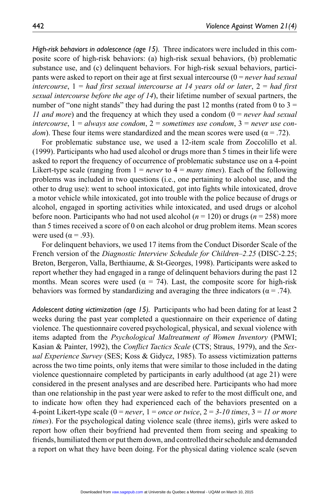*High-risk behaviors in adolescence (age 15).* Three indicators were included in this composite score of high-risk behaviors: (a) high-risk sexual behaviors, (b) problematic substance use, and (c) delinquent behaviors. For high-risk sexual behaviors, participants were asked to report on their age at first sexual intercourse (0 = *never had sexual intercourse*, 1 = *had first sexual intercourse at 14 years old or later*, 2 = *had first sexual intercourse before the age of 14*), their lifetime number of sexual partners, the number of "one night stands" they had during the past 12 months (rated from 0 to  $3 =$ *11 and more*) and the frequency at which they used a condom (0 = *never had sexual intercourse*, 1 = *always use condom*, 2 = *sometimes use condom*, 3 = *never use condom*). These four items were standardized and the mean scores were used ( $\alpha$  = .72).

For problematic substance use, we used a 12-item scale from Zoccolillo et al. (1999). Participants who had used alcohol or drugs more than 5 times in their life were asked to report the frequency of occurrence of problematic substance use on a 4-point Likert-type scale (ranging from 1 = *never* to 4 = *many times*). Each of the following problems was included in two questions (i.e., one pertaining to alcohol use, and the other to drug use): went to school intoxicated, got into fights while intoxicated, drove a motor vehicle while intoxicated, got into trouble with the police because of drugs or alcohol, engaged in sporting activities while intoxicated, and used drugs or alcohol before noon. Participants who had not used alcohol (*n* = 120) or drugs (*n* = 258) more than 5 times received a score of 0 on each alcohol or drug problem items. Mean scores were used ( $\alpha$  = .93).

For delinquent behaviors, we used 17 items from the Conduct Disorder Scale of the French version of the *Diagnostic Interview Schedule for Children–2.25* (DISC-2.25; Breton, Bergeron, Valla, Berthiaume, & St-Georges, 1998). Participants were asked to report whether they had engaged in a range of delinquent behaviors during the past 12 months. Mean scores were used ( $\alpha = 74$ ). Last, the composite score for high-risk behaviors was formed by standardizing and averaging the three indicators ( $\alpha$  = .74).

*Adolescent dating victimization (age 15).* Participants who had been dating for at least 2 weeks during the past year completed a questionnaire on their experience of dating violence. The questionnaire covered psychological, physical, and sexual violence with items adapted from the *Psychological Maltreatment of Women Inventory* (PMWI; Kasian & Painter, 1992), the *Conflict Tactics Scale* (CTS; Straus, 1979), and the *Sexual Experience Survey* (SES; Koss & Gidycz, 1985). To assess victimization patterns across the two time points, only items that were similar to those included in the dating violence questionnaire completed by participants in early adulthood (at age 21) were considered in the present analyses and are described here. Participants who had more than one relationship in the past year were asked to refer to the most difficult one, and to indicate how often they had experienced each of the behaviors presented on a 4-point Likert-type scale  $(0 = never, 1 = once or twice, 2 = 3-10 times, 3 = 11 or more$ *times*). For the psychological dating violence scale (three items), girls were asked to report how often their boyfriend had prevented them from seeing and speaking to friends, humiliated them or put them down, and controlled their schedule and demanded a report on what they have been doing. For the physical dating violence scale (seven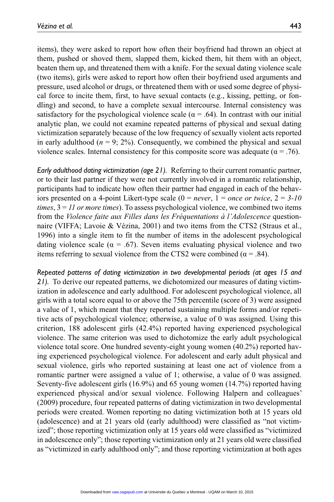items), they were asked to report how often their boyfriend had thrown an object at them, pushed or shoved them, slapped them, kicked them, hit them with an object, beaten them up, and threatened them with a knife. For the sexual dating violence scale (two items), girls were asked to report how often their boyfriend used arguments and pressure, used alcohol or drugs, or threatened them with or used some degree of physical force to incite them, first, to have sexual contacts (e.g., kissing, petting, or fondling) and second, to have a complete sexual intercourse. Internal consistency was satisfactory for the psychological violence scale ( $\alpha$  = .64). In contrast with our initial analytic plan, we could not examine repeated patterns of physical and sexual dating victimization separately because of the low frequency of sexually violent acts reported in early adulthood  $(n = 9; 2\%)$ . Consequently, we combined the physical and sexual violence scales. Internal consistency for this composite score was adequate ( $\alpha$  = .76).

*Early adulthood dating victimization (age 21).* Referring to their current romantic partner, or to their last partner if they were not currently involved in a romantic relationship, participants had to indicate how often their partner had engaged in each of the behaviors presented on a 4-point Likert-type scale (0 = *never*, 1 = *once or twice*, 2 = *3-10 times*, 3 = *11 or more times*). To assess psychological violence, we combined two items from the *Violence faite aux Filles dans les Fréquentations à l'Adolescence* questionnaire (VIFFA; Lavoie & Vézina, 2001) and two items from the CTS2 (Straus et al., 1996) into a single item to fit the number of items in the adolescent psychological dating violence scale ( $\alpha = .67$ ). Seven items evaluating physical violence and two items referring to sexual violence from the CTS2 were combined ( $\alpha = .84$ ).

*Repeated patterns of dating victimization in two developmental periods (at ages 15 and 21).* To derive our repeated patterns, we dichotomized our measures of dating victimization in adolescence and early adulthood. For adolescent psychological violence, all girls with a total score equal to or above the 75th percentile (score of 3) were assigned a value of 1, which meant that they reported sustaining multiple forms and/or repetitive acts of psychological violence; otherwise, a value of 0 was assigned. Using this criterion, 188 adolescent girls (42.4%) reported having experienced psychological violence. The same criterion was used to dichotomize the early adult psychological violence total score. One hundred seventy-eight young women (40.2%) reported having experienced psychological violence. For adolescent and early adult physical and sexual violence, girls who reported sustaining at least one act of violence from a romantic partner were assigned a value of 1; otherwise, a value of 0 was assigned. Seventy-five adolescent girls (16.9%) and 65 young women (14.7%) reported having experienced physical and/or sexual violence. Following Halpern and colleagues' (2009) procedure, four repeated patterns of dating victimization in two developmental periods were created. Women reporting no dating victimization both at 15 years old (adolescence) and at 21 years old (early adulthood) were classified as "not victimized"; those reporting victimization only at 15 years old were classified as "victimized in adolescence only"; those reporting victimization only at 21 years old were classified as "victimized in early adulthood only"; and those reporting victimization at both ages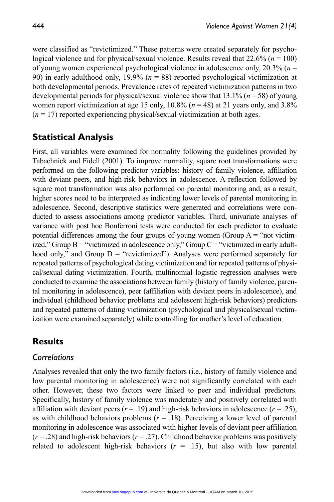were classified as "revictimized." These patterns were created separately for psychological violence and for physical/sexual violence. Results reveal that 22.6% (*n* = 100) of young women experienced psychological violence in adolescence only, 20.3% (*n* = 90) in early adulthood only, 19.9% (*n* = 88) reported psychological victimization at both developmental periods. Prevalence rates of repeated victimization patterns in two developmental periods for physical/sexual violence show that 13.1% (*n* = 58) of young women report victimization at age 15 only, 10.8% (*n* = 48) at 21 years only, and 3.8% (*n* = 17) reported experiencing physical/sexual victimization at both ages.

## **Statistical Analysis**

First, all variables were examined for normality following the guidelines provided by Tabachnick and Fidell (2001). To improve normality, square root transformations were performed on the following predictor variables: history of family violence, affiliation with deviant peers, and high-risk behaviors in adolescence. A reflection followed by square root transformation was also performed on parental monitoring and, as a result, higher scores need to be interpreted as indicating lower levels of parental monitoring in adolescence. Second, descriptive statistics were generated and correlations were conducted to assess associations among predictor variables. Third, univariate analyses of variance with post hoc Bonferroni tests were conducted for each predictor to evaluate potential differences among the four groups of young women (Group  $A =$  "not victimized," Group  $B =$  "victimized in adolescence only," Group  $C =$  "victimized in early adulthood only," and Group  $D =$  "revictimized"). Analyses were performed separately for repeated patterns of psychological dating victimization and for repeated patterns of physical/sexual dating victimization. Fourth, multinomial logistic regression analyses were conducted to examine the associations between family (history of family violence, parental monitoring in adolescence), peer (affiliation with deviant peers in adolescence), and individual (childhood behavior problems and adolescent high-risk behaviors) predictors and repeated patterns of dating victimization (psychological and physical/sexual victimization were examined separately) while controlling for mother's level of education.

## **Results**

### *Correlations*

Analyses revealed that only the two family factors (i.e., history of family violence and low parental monitoring in adolescence) were not significantly correlated with each other. However, these two factors were linked to peer and individual predictors. Specifically, history of family violence was moderately and positively correlated with affiliation with deviant peers  $(r = .19)$  and high-risk behaviors in adolescence  $(r = .25)$ , as with childhood behaviors problems  $(r = .18)$ . Perceiving a lower level of parental monitoring in adolescence was associated with higher levels of deviant peer affiliation (*r* = .28) and high-risk behaviors (*r* = .27). Childhood behavior problems was positively related to adolescent high-risk behaviors  $(r = .15)$ , but also with low parental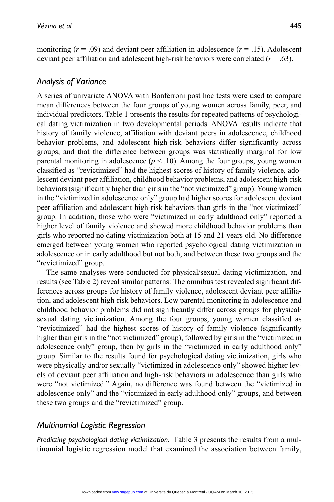monitoring  $(r = .09)$  and deviant peer affiliation in adolescence  $(r = .15)$ . Adolescent deviant peer affiliation and adolescent high-risk behaviors were correlated  $(r = .63)$ .

#### *Analysis of Variance*

A series of univariate ANOVA with Bonferroni post hoc tests were used to compare mean differences between the four groups of young women across family, peer, and individual predictors. Table 1 presents the results for repeated patterns of psychological dating victimization in two developmental periods. ANOVA results indicate that history of family violence, affiliation with deviant peers in adolescence, childhood behavior problems, and adolescent high-risk behaviors differ significantly across groups, and that the difference between groups was statistically marginal for low parental monitoring in adolescence  $(p < .10)$ . Among the four groups, young women classified as "revictimized" had the highest scores of history of family violence, adolescent deviant peer affiliation, childhood behavior problems, and adolescent high-risk behaviors (significantly higher than girls in the "not victimized" group). Young women in the "victimized in adolescence only" group had higher scores for adolescent deviant peer affiliation and adolescent high-risk behaviors than girls in the "not victimized" group. In addition, those who were "victimized in early adulthood only" reported a higher level of family violence and showed more childhood behavior problems than girls who reported no dating victimization both at 15 and 21 years old. No difference emerged between young women who reported psychological dating victimization in adolescence or in early adulthood but not both, and between these two groups and the "revictimized" group.

The same analyses were conducted for physical/sexual dating victimization, and results (see Table 2) reveal similar patterns: The omnibus test revealed significant differences across groups for history of family violence, adolescent deviant peer affiliation, and adolescent high-risk behaviors. Low parental monitoring in adolescence and childhood behavior problems did not significantly differ across groups for physical/ sexual dating victimization. Among the four groups, young women classified as "revictimized" had the highest scores of history of family violence (significantly higher than girls in the "not victimized" group), followed by girls in the "victimized in adolescence only" group, then by girls in the "victimized in early adulthood only" group. Similar to the results found for psychological dating victimization, girls who were physically and/or sexually "victimized in adolescence only" showed higher levels of deviant peer affiliation and high-risk behaviors in adolescence than girls who were "not victimized." Again, no difference was found between the "victimized in adolescence only" and the "victimized in early adulthood only" groups, and between these two groups and the "revictimized" group.

### *Multinomial Logistic Regression*

*Predicting psychological dating victimization.* Table 3 presents the results from a multinomial logistic regression model that examined the association between family,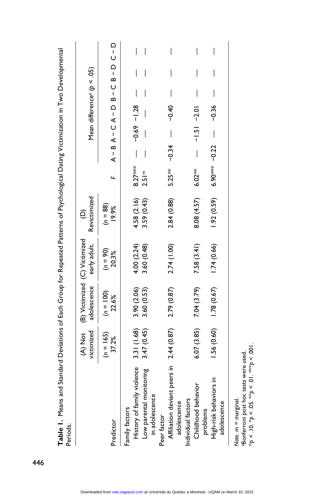| Table I. Means and<br>Periods.                                                                               |                           | Standard Deviations of Each Group for Repeated Patterns of Psychological Dating Victimization in Two Developmental |                            |                                    |                                |                          |                                     |  |  |
|--------------------------------------------------------------------------------------------------------------|---------------------------|--------------------------------------------------------------------------------------------------------------------|----------------------------|------------------------------------|--------------------------------|--------------------------|-------------------------------------|--|--|
|                                                                                                              | victimized<br>(A) Not     | (B) Victimized (C) Victimized<br>adolescence                                                                       | early adult.               | Revictimized<br>$\widehat{\Theta}$ |                                |                          | Mean difference $(p < .05)$         |  |  |
| Predictor                                                                                                    | $(n = 165)$<br>37.2%      | $(n = 100)$<br>22.6%                                                                                               | $(n = 90)$<br>20.3%        | $(n = 88)$<br>19.9%                | щ                              |                          | $A - B$ $A - C$ $A - C$ $B - C$ $D$ |  |  |
| History of family violence<br>litoring<br>Low parental mon<br>in adolescence<br>Family factors               | 3.31 (1.68)<br>3.47(0.45) | 3.90 (2.06)<br>3.60 (0.53)                                                                                         | 4.00 (2.24)<br>3.60 (0.48) | 4.58 (2.16)<br>3.59 (0.43)         | $8.27***$<br>2.51 <sup>m</sup> | $\bigg $                 | $-0.69 - 1.28$                      |  |  |
| Affiliation deviant<br>adolescence<br>Peer factor                                                            | peers in 2.44 (0.87)      | 2.79 (0.87)                                                                                                        | 2.74 (1.00)                | 2.84 (0.88)                        | $5.25**$                       | $-0.34$                  | $-0.40$                             |  |  |
| Childhood behavior<br>Individual factors<br>problems                                                         | 6.07(3.85)                | 7.04 (3.79)                                                                                                        | 7.58 (3.41)                | 8.08 (4.57)                        | $6.02**$                       | $\overline{\phantom{a}}$ | $-1.51 - 2.01$                      |  |  |
| High-risk behaviors in<br>adolescence                                                                        | 1.56(0.60)                | 1.78(0.67)                                                                                                         | 1.74(0.66)                 | $(650)$ $29$                       | $6.90*** -0.22$                |                          | $-0.36$                             |  |  |
| a Bonferroni post hoc tests were used.<br>"p < .10. *p < .05. **p < .01. ***p < .001.<br>Note. m = marginal. |                           |                                                                                                                    |                            |                                    |                                |                          |                                     |  |  |

446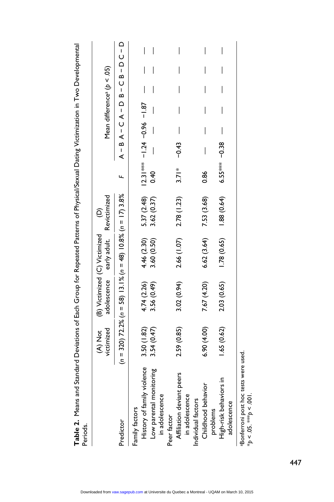| Table 2. Means and<br>Periods.                                                          | Standard Deviations of Each Group for Repeated Patterns of Physical/Sexual Dating Victimization in Two Developmental |                                                             |                           |             |                 |                              |                             |                               |  |
|-----------------------------------------------------------------------------------------|----------------------------------------------------------------------------------------------------------------------|-------------------------------------------------------------|---------------------------|-------------|-----------------|------------------------------|-----------------------------|-------------------------------|--|
|                                                                                         | victimized<br>(A) Not                                                                                                | (B) Victimized (C) Victimized<br>adolescence                | early adult. Revictimized |             |                 |                              | Mean difference $(p < .05)$ |                               |  |
| Predictor                                                                               |                                                                                                                      | (n = 320) 72.2% (n = 58) 13.1% (n = 48) 10.8% (n = 17) 3.8% |                           |             |                 |                              |                             | A - B A - C A - D B - D C - D |  |
| Family factors                                                                          |                                                                                                                      |                                                             |                           |             |                 |                              |                             |                               |  |
| History of family violence                                                              | 3.50 (1.82)                                                                                                          | 4.74 (2.26)                                                 | 4.46 (2.30)               | 5.37 (2.48) |                 | $12.31*** -1.24 -0.96 -1.87$ |                             |                               |  |
| Low parental monitoring<br>in adolescence                                               | 3.54(0.47)                                                                                                           | 3.56 (0.49)                                                 | 3.60 (0.50)               | 3.62(0.37)  | $\frac{40}{5}$  |                              |                             |                               |  |
| Peer factor                                                                             |                                                                                                                      |                                                             |                           |             |                 |                              |                             |                               |  |
| peers<br>Affiliation deviant<br>in adolescence                                          | 2.59 (0.85)                                                                                                          | 3.02(0.94)                                                  | 2.66 (1.07)               | 2.78 (1.23) | $3.71*$         | $-0.43$                      |                             |                               |  |
| Individual factors                                                                      |                                                                                                                      |                                                             |                           |             |                 |                              |                             |                               |  |
| Childhood behavior                                                                      | 6.90 (4.00)                                                                                                          | 7.67 (4.20)                                                 | 6.62(3.64)                | 7.53 (3.68) | 0.86            |                              |                             |                               |  |
| problems                                                                                |                                                                                                                      |                                                             |                           |             |                 |                              |                             |                               |  |
| High-risk behaviors in<br>adolescence                                                   | 1.65(0.62)                                                                                                           | 2.03 (0.65)                                                 | 1.78(0.65)                | 1.88(0.64)  | $6.55*** -0.38$ |                              |                             |                               |  |
|                                                                                         |                                                                                                                      |                                                             |                           |             |                 |                              |                             |                               |  |
| sts were used.<br><sup>a</sup> Bonferroni post hoc te<br>$*_{p}$ < .05. $*_{p}$ < .001. |                                                                                                                      |                                                             |                           |             |                 |                              |                             |                               |  |

447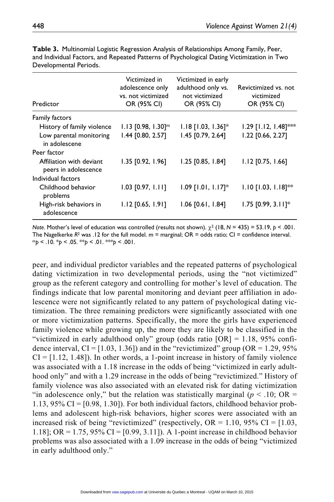| Predictor                                        | Victimized in<br>adolescence only<br>vs. not victimized<br>OR (95% CI) | Victimized in early<br>adulthood only vs.<br>not victimized<br>OR (95% CI) | Revictimized vs. not<br>victimized<br>OR (95% CI) |
|--------------------------------------------------|------------------------------------------------------------------------|----------------------------------------------------------------------------|---------------------------------------------------|
| <b>Family factors</b>                            |                                                                        |                                                                            |                                                   |
| History of family violence                       | $1.13$ [0.98, 1.30] <sup>m</sup>                                       | $1.18$ [1.03, 1.36]*                                                       | 1.29 [1.12, 1.48]***                              |
| Low parental monitoring<br>in adolescene         | 1.44 [0.80, 2.57]                                                      | 1.45 [0.79, 2.64]                                                          | $1.22$ [0.66, 2.27]                               |
| Peer factor                                      |                                                                        |                                                                            |                                                   |
| Affiliation with deviant<br>peers in adolescence | $1.35$ [0.92, 1.96]                                                    | $1.25$ [0.85, 1.84]                                                        | $1.12$ [0.75, 1.66]                               |
| Individual factors                               |                                                                        |                                                                            |                                                   |
| Childhood behavior<br>problems                   | $1.03$ [0.97, $1.11$ ]                                                 | $1.09$ [1.01, 1.17]*                                                       | $1.10$ [1.03, 1.18]**                             |
| High-risk behaviors in<br>adolescence            | $1.12$ [0.65, 1.91]                                                    | $1.06$ [0.61, 1.84]                                                        | $1.75$ [0.99, 3.11]*                              |

**Table 3.** Multinomial Logistic Regression Analysis of Relationships Among Family, Peer, and Individual Factors, and Repeated Patterns of Psychological Dating Victimization in Two Developmental Periods.

*Note.* Mother's level of education was controlled (results not shown). χ2 (18, *N* = 435) = 53.19, *p* < .001. The Nagelkerke  $R^2$  was .12 for the full model. m = marginal; OR = odds ratio; CI = confidence interval. <sup>m</sup>*p* < .10. \**p* < .05. \*\**p* < .01. \*\*\**p* < .001.

peer, and individual predictor variables and the repeated patterns of psychological dating victimization in two developmental periods, using the "not victimized" group as the referent category and controlling for mother's level of education. The findings indicate that low parental monitoring and deviant peer affiliation in adolescence were not significantly related to any pattern of psychological dating victimization. The three remaining predictors were significantly associated with one or more victimization patterns. Specifically, the more the girls have experienced family violence while growing up, the more they are likely to be classified in the "victimized in early adulthood only" group (odds ratio  $[OR] = 1.18, 95\%$  confidence interval,  $CI = [1.03, 1.36]$  and in the "revictimized" group (OR = 1.29, 95%)  $CI = [1.12, 1.48]$ . In other words, a 1-point increase in history of family violence was associated with a 1.18 increase in the odds of being "victimized in early adulthood only" and with a 1.29 increase in the odds of being "revictimized." History of family violence was also associated with an elevated risk for dating victimization "in adolescence only," but the relation was statistically marginal ( $p < .10$ ; OR = 1.13, 95% CI = [0.98, 1.30]). For both individual factors, childhood behavior problems and adolescent high-risk behaviors, higher scores were associated with an increased risk of being "revictimized" (respectively,  $OR = 1.10$ , 95% CI = [1.03, 1.18]; OR = 1.75, 95% CI = [0.99, 3.11]). A 1-point increase in childhood behavior problems was also associated with a 1.09 increase in the odds of being "victimized in early adulthood only."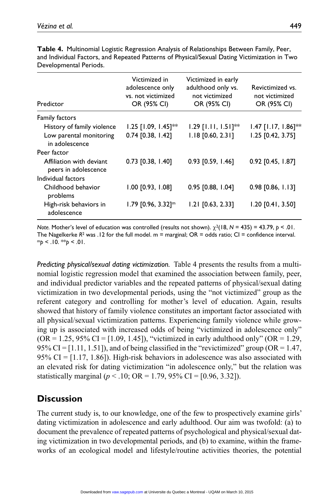| Predictor                                        | Victimized in<br>adolescence only<br>vs. not victimized<br>OR (95% CI) | Victimized in early<br>adulthood only vs.<br>not victimized<br>OR (95% CI) | Revictimized vs.<br>not victimized<br>OR (95% CI) |
|--------------------------------------------------|------------------------------------------------------------------------|----------------------------------------------------------------------------|---------------------------------------------------|
| Family factors                                   |                                                                        |                                                                            |                                                   |
| History of family violence                       | $1.25$ [1.09, 1.45]**                                                  | $1.29$ [1.11, 1.51]**                                                      | $1.47$ [1.17, 1.86]**                             |
| Low parental monitoring<br>in adolescence        | 0.74 [0.38, 1.42]                                                      | $1.18$ [0.60, 2.31]                                                        | $1.25$ [0.42, 3.75]                               |
| Peer factor                                      |                                                                        |                                                                            |                                                   |
| Affiliation with deviant<br>peers in adolescence | $0.73$ [0.38, 1.40]                                                    | 0.93 [0.59, 1.46]                                                          | 0.92 [0.45, 1.87]                                 |
| Individual factors                               |                                                                        |                                                                            |                                                   |
| Childhood behavior<br>problems                   | $1.00$ [0.93, $1.08$ ]                                                 | 0.95 [0.88, 1.04]                                                          | $0.98$ [0.86, 1.13]                               |
| High-risk behaviors in<br>adolescence            | $1.79$ [0.96, 3.32] <sup>m</sup>                                       | $1.21$ [0.63, 2.33]                                                        | $1.20$ [0.41, 3.50]                               |

**Table 4.** Multinomial Logistic Regression Analysis of Relationships Between Family, Peer, and Individual Factors, and Repeated Patterns of Physical/Sexual Dating Victimization in Two Developmental Periods.

*Note.* Mother's level of education was controlled (results not shown). χ2(18, *N* = 435) = 43.79, *p* < .01. The Nagelkerke  $R^2$  was .12 for the full model. m = marginal; OR = odds ratio; CI = confidence interval. <sup>m</sup>*p* < .10. \*\**p* < .01.

*Predicting physical/sexual dating victimization.* Table 4 presents the results from a multinomial logistic regression model that examined the association between family, peer, and individual predictor variables and the repeated patterns of physical/sexual dating victimization in two developmental periods, using the "not victimized" group as the referent category and controlling for mother's level of education. Again, results showed that history of family violence constitutes an important factor associated with all physical/sexual victimization patterns. Experiencing family violence while growing up is associated with increased odds of being "victimized in adolescence only"  $(OR = 1.25, 95\% \text{ CI} = [1.09, 1.45]),$  "victimized in early adulthood only"  $(OR = 1.29,$ 95% CI =  $[1.11, 1.51]$ , and of being classified in the "revictimized" group (OR = 1.47, 95% CI =  $[1.17, 1.86]$ ). High-risk behaviors in adolescence was also associated with an elevated risk for dating victimization "in adolescence only," but the relation was statistically marginal ( $p < 0.10$ ; OR = 1.79, 95% CI = [0.96, 3.32]).

# **Discussion**

The current study is, to our knowledge, one of the few to prospectively examine girls' dating victimization in adolescence and early adulthood. Our aim was twofold: (a) to document the prevalence of repeated patterns of psychological and physical/sexual dating victimization in two developmental periods, and (b) to examine, within the frameworks of an ecological model and lifestyle/routine activities theories, the potential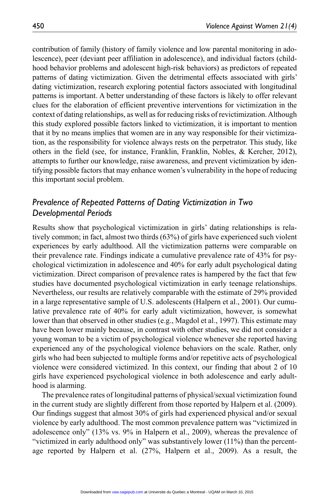contribution of family (history of family violence and low parental monitoring in adolescence), peer (deviant peer affiliation in adolescence), and individual factors (childhood behavior problems and adolescent high-risk behaviors) as predictors of repeated patterns of dating victimization. Given the detrimental effects associated with girls' dating victimization, research exploring potential factors associated with longitudinal patterns is important. A better understanding of these factors is likely to offer relevant clues for the elaboration of efficient preventive interventions for victimization in the context of dating relationships, as well as for reducing risks of revictimization. Although this study explored possible factors linked to victimization, it is important to mention that it by no means implies that women are in any way responsible for their victimization, as the responsibility for violence always rests on the perpetrator. This study, like others in the field (see, for instance, Franklin, Franklin, Nobles, & Kercher, 2012), attempts to further our knowledge, raise awareness, and prevent victimization by identifying possible factors that may enhance women's vulnerability in the hope of reducing this important social problem.

## *Prevalence of Repeated Patterns of Dating Victimization in Two Developmental Periods*

Results show that psychological victimization in girls' dating relationships is relatively common; in fact, almost two thirds (63%) of girls have experienced such violent experiences by early adulthood. All the victimization patterns were comparable on their prevalence rate. Findings indicate a cumulative prevalence rate of 43% for psychological victimization in adolescence and 40% for early adult psychological dating victimization. Direct comparison of prevalence rates is hampered by the fact that few studies have documented psychological victimization in early teenage relationships. Nevertheless, our results are relatively comparable with the estimate of 29% provided in a large representative sample of U.S. adolescents (Halpern et al., 2001). Our cumulative prevalence rate of 40% for early adult victimization, however, is somewhat lower than that observed in other studies (e.g., Magdol et al., 1997). This estimate may have been lower mainly because, in contrast with other studies, we did not consider a young woman to be a victim of psychological violence whenever she reported having experienced any of the psychological violence behaviors on the scale. Rather, only girls who had been subjected to multiple forms and/or repetitive acts of psychological violence were considered victimized. In this context, our finding that about 2 of 10 girls have experienced psychological violence in both adolescence and early adulthood is alarming.

The prevalence rates of longitudinal patterns of physical/sexual victimization found in the current study are slightly different from those reported by Halpern et al. (2009). Our findings suggest that almost 30% of girls had experienced physical and/or sexual violence by early adulthood. The most common prevalence pattern was "victimized in adolescence only" (13% vs. 9% in Halpern et al., 2009), whereas the prevalence of "victimized in early adulthood only" was substantively lower (11%) than the percentage reported by Halpern et al. (27%, Halpern et al., 2009). As a result, the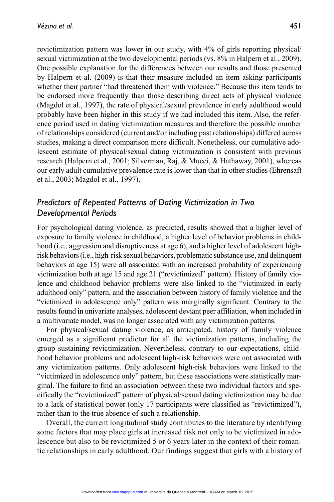revictimization pattern was lower in our study, with 4% of girls reporting physical/ sexual victimization at the two developmental periods (vs. 8% in Halpern et al., 2009). One possible explanation for the differences between our results and those presented by Halpern et al. (2009) is that their measure included an item asking participants whether their partner "had threatened them with violence." Because this item tends to be endorsed more frequently than those describing direct acts of physical violence (Magdol et al., 1997), the rate of physical/sexual prevalence in early adulthood would probably have been higher in this study if we had included this item. Also, the reference period used in dating victimization measures and therefore the possible number of relationships considered (current and/or including past relationships) differed across studies, making a direct comparison more difficult. Nonetheless, our cumulative adolescent estimate of physical/sexual dating victimization is consistent with previous research (Halpern et al., 2001; Silverman, Raj, & Mucci, & Hathaway, 2001), whereas our early adult cumulative prevalence rate is lower than that in other studies (Ehrensaft et al., 2003; Magdol et al., 1997).

### *Predictors of Repeated Patterns of Dating Victimization in Two Developmental Periods*

For psychological dating violence, as predicted, results showed that a higher level of exposure to family violence in childhood, a higher level of behavior problems in childhood (i.e., aggression and disruptiveness at age 6), and a higher level of adolescent highrisk behaviors (i.e., high-risk sexual behaviors, problematic substance use, and delinquent behaviors at age 15) were all associated with an increased probability of experiencing victimization both at age 15 and age 21 ("revictimized" pattern). History of family violence and childhood behavior problems were also linked to the "victimized in early adulthood only" pattern, and the association between history of family violence and the "victimized in adolescence only" pattern was marginally significant. Contrary to the results found in univariate analyses, adolescent deviant peer affiliation, when included in a multivariate model, was no longer associated with any victimization patterns.

For physical/sexual dating violence, as anticipated, history of family violence emerged as a significant predictor for all the victimization patterns, including the group sustaining revictimization. Nevertheless, contrary to our expectations, childhood behavior problems and adolescent high-risk behaviors were not associated with any victimization patterns. Only adolescent high-risk behaviors were linked to the "victimized in adolescence only" pattern, but these associations were statistically marginal. The failure to find an association between these two individual factors and specifically the "revictimized" pattern of physical/sexual dating victimization may be due to a lack of statistical power (only 17 participants were classified as "revictimized"), rather than to the true absence of such a relationship.

Overall, the current longitudinal study contributes to the literature by identifying some factors that may place girls at increased risk not only to be victimized in adolescence but also to be revictimized 5 or 6 years later in the context of their romantic relationships in early adulthood. Our findings suggest that girls with a history of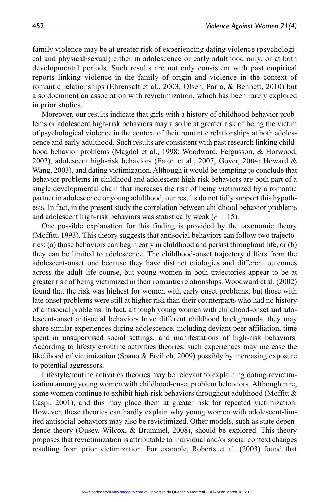family violence may be at greater risk of experiencing dating violence (psychological and physical/sexual) either in adolescence or early adulthood only, or at both developmental periods. Such results are not only consistent with past empirical reports linking violence in the family of origin and violence in the context of romantic relationships (Ehrensaft et al., 2003; Olsen, Parra, & Bennett, 2010) but also document an association with revictimization, which has been rarely explored in prior studies.

Moreover, our results indicate that girls with a history of childhood behavior problems or adolescent high-risk behaviors may also be at greater risk of being the victim of psychological violence in the context of their romantic relationships at both adolescence and early adulthood. Such results are consistent with past research linking childhood behavior problems (Magdol et al., 1998; Woodward, Fergusson, & Horwood, 2002), adolescent high-risk behaviors (Eaton et al., 2007; Gover, 2004; Howard & Wang, 2003), and dating victimization. Although it would be tempting to conclude that behavior problems in childhood and adolescent high-risk behaviors are both part of a single developmental chain that increases the risk of being victimized by a romantic partner in adolescence or young adulthood, our results do not fully support this hypothesis. In fact, in the present study the correlation between childhood behavior problems and adolescent high-risk behaviors was statistically weak  $(r = .15)$ .

One possible explanation for this finding is provided by the taxonomic theory (Moffitt, 1993). This theory suggests that antisocial behaviors can follow two trajectories: (a) those behaviors can begin early in childhood and persist throughout life, or (b) they can be limited to adolescence. The childhood-onset trajectory differs from the adolescent-onset one because they have distinct etiologies and different outcomes across the adult life course, but young women in both trajectories appear to be at greater risk of being victimized in their romantic relationships. Woodward et al. (2002) found that the risk was highest for women with early onset problems, but those with late onset problems were still at higher risk than their counterparts who had no history of antisocial problems. In fact, although young women with childhood-onset and adolescent-onset antisocial behaviors have different childhood backgrounds, they may share similar experiences during adolescence, including deviant peer affiliation, time spent in unsupervised social settings, and manifestations of high-risk behaviors. According to lifestyle/routine activities theories, such experiences may increase the likelihood of victimization (Spano & Freilich, 2009) possibly by increasing exposure to potential aggressors.

Lifestyle/routine activities theories may be relevant to explaining dating revictimization among young women with childhood-onset problem behaviors. Although rare, some women continue to exhibit high-risk behaviors throughout adulthood (Moffitt  $\&$ Caspi, 2001), and this may place them at greater risk for repeated victimization. However, these theories can hardly explain why young women with adolescent-limited antisocial behaviors may also be revictimized. Other models, such as state dependence theory (Ousey, Wilcox, & Brummel, 2008), should be explored. This theory proposes that revictimization is attributable to individual and/or social context changes resulting from prior victimization. For example, Roberts et al. (2003) found that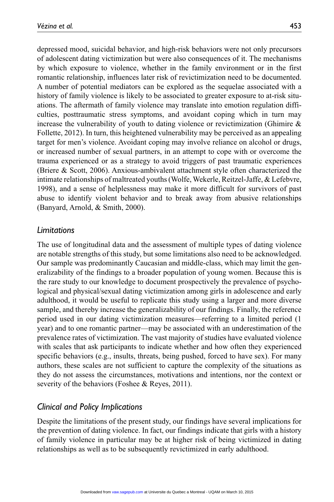depressed mood, suicidal behavior, and high-risk behaviors were not only precursors of adolescent dating victimization but were also consequences of it. The mechanisms by which exposure to violence, whether in the family environment or in the first romantic relationship, influences later risk of revictimization need to be documented. A number of potential mediators can be explored as the sequelae associated with a history of family violence is likely to be associated to greater exposure to at-risk situations. The aftermath of family violence may translate into emotion regulation difficulties, posttraumatic stress symptoms, and avoidant coping which in turn may increase the vulnerability of youth to dating violence or revictimization (Ghimire  $\&$ Follette, 2012). In turn, this heightened vulnerability may be perceived as an appealing target for men's violence. Avoidant coping may involve reliance on alcohol or drugs, or increased number of sexual partners, in an attempt to cope with or overcome the trauma experienced or as a strategy to avoid triggers of past traumatic experiences (Briere & Scott, 2006). Anxious-ambivalent attachment style often characterized the intimate relationships of maltreated youths (Wolfe, Wekerle, Reitzel-Jaffe, & Lefebvre, 1998), and a sense of helplessness may make it more difficult for survivors of past abuse to identify violent behavior and to break away from abusive relationships (Banyard, Arnold, & Smith, 2000).

### *Limitations*

The use of longitudinal data and the assessment of multiple types of dating violence are notable strengths of this study, but some limitations also need to be acknowledged. Our sample was predominantly Caucasian and middle-class, which may limit the generalizability of the findings to a broader population of young women. Because this is the rare study to our knowledge to document prospectively the prevalence of psychological and physical/sexual dating victimization among girls in adolescence and early adulthood, it would be useful to replicate this study using a larger and more diverse sample, and thereby increase the generalizability of our findings. Finally, the reference period used in our dating victimization measures—referring to a limited period (1 year) and to one romantic partner—may be associated with an underestimation of the prevalence rates of victimization. The vast majority of studies have evaluated violence with scales that ask participants to indicate whether and how often they experienced specific behaviors (e.g., insults, threats, being pushed, forced to have sex). For many authors, these scales are not sufficient to capture the complexity of the situations as they do not assess the circumstances, motivations and intentions, nor the context or severity of the behaviors (Foshee & Reyes, 2011).

### *Clinical and Policy Implications*

Despite the limitations of the present study, our findings have several implications for the prevention of dating violence. In fact, our findings indicate that girls with a history of family violence in particular may be at higher risk of being victimized in dating relationships as well as to be subsequently revictimized in early adulthood.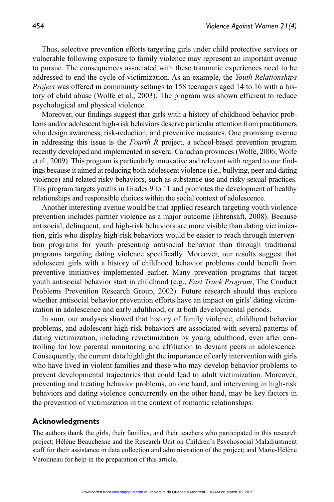Thus, selective prevention efforts targeting girls under child protective services or vulnerable following exposure to family violence may represent an important avenue to pursue. The consequences associated with these traumatic experiences need to be addressed to end the cycle of victimization. As an example, the *Youth Relationships Project* was offered in community settings to 158 teenagers aged 14 to 16 with a history of child abuse (Wolfe et al., 2003). The program was shown efficient to reduce psychological and physical violence.

Moreover, our findings suggest that girls with a history of childhood behavior problems and/or adolescent high-risk behaviors deserve particular attention from practitioners who design awareness, risk-reduction, and preventive measures. One promising avenue in addressing this issue is the *Fourth R* project, a school-based prevention program recently developed and implemented in several Canadian provinces (Wolfe, 2006; Wolfe et al., 2009). This program is particularly innovative and relevant with regard to our findings because it aimed at reducing both adolescent violence (i.e., bullying, peer and dating violence) and related risky behaviors, such as substance use and risky sexual practices. This program targets youths in Grades 9 to 11 and promotes the development of healthy relationships and responsible choices within the social context of adolescence.

Another interesting avenue would be that applied research targeting youth violence prevention includes partner violence as a major outcome (Ehrensaft, 2008). Because antisocial, delinquent, and high-risk behaviors are more visible than dating victimization, girls who display high-risk behaviors would be easier to reach through intervention programs for youth presenting antisocial behavior than through traditional programs targeting dating violence specifically. Moreover, our results suggest that adolescent girls with a history of childhood behavior problems could benefit from preventive initiatives implemented earlier. Many prevention programs that target youth antisocial behavior start in childhood (e.g., *Fast Track Program*; The Conduct Problems Prevention Research Group, 2002). Future research should thus explore whether antisocial behavior prevention efforts have an impact on girls' dating victimization in adolescence and early adulthood, or at both developmental periods.

In sum, our analyses showed that history of family violence, childhood behavior problems, and adolescent high-risk behaviors are associated with several patterns of dating victimization, including revictimization by young adulthood, even after controlling for low parental monitoring and affiliation to deviant peers in adolescence. Consequently, the current data highlight the importance of early intervention with girls who have lived in violent families and those who may develop behavior problems to prevent developmental trajectories that could lead to adult victimization. Moreover, preventing and treating behavior problems, on one hand, and intervening in high-risk behaviors and dating violence concurrently on the other hand, may be key factors in the prevention of victimization in the context of romantic relationships.

#### **Acknowledgments**

The authors thank the girls, their families, and their teachers who participated in this research project; Hélène Beauchesne and the Research Unit on Children's Psychosocial Maladjustment staff for their assistance in data collection and administration of the project; and Marie-Hélène Véronneau for help in the preparation of this article.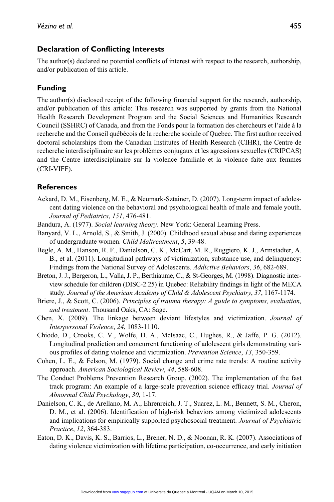#### **Declaration of Conflicting Interests**

The author(s) declared no potential conflicts of interest with respect to the research, authorship, and/or publication of this article.

### **Funding**

The author(s) disclosed receipt of the following financial support for the research, authorship, and/or publication of this article: This research was supported by grants from the National Health Research Development Program and the Social Sciences and Humanities Research Council (SSHRC) of Canada, and from the Fonds pour la formation des chercheurs et l'aide à la recherche and the Conseil québécois de la recherche sociale of Quebec. The first author received doctoral scholarships from the Canadian Institutes of Health Research (CIHR), the Centre de recherche interdisciplinaire sur les problèmes conjugaux et les agressions sexuelles (CRIPCAS) and the Centre interdisciplinaire sur la violence familiale et la violence faite aux femmes (CRI-VIFF).

### **References**

- Ackard, D. M., Eisenberg, M. E., & Neumark-Sztainer, D. (2007). Long-term impact of adolescent dating violence on the behavioral and psychological health of male and female youth. *Journal of Pediatrics*, *151*, 476-481.
- Bandura, A. (1977). *Social learning theory*. New York: General Learning Press.
- Banyard, V. L., Arnold, S., & Smith, J. (2000). Childhood sexual abuse and dating experiences of undergraduate women. *Child Maltreatment*, *5*, 39-48.
- Begle, A. M., Hanson, R. F., Danielson, C. K., McCart, M. R., Ruggiero, K. J., Armstadter, A. B., et al. (2011). Longitudinal pathways of victimization, substance use, and delinquency: Findings from the National Survey of Adolescents. *Addictive Behaviors*, *36*, 682-689.
- Breton, J. J., Bergeron, L., Valla, J. P., Berthiaume, C., & St-Georges, M. (1998). Diagnostic interview schedule for children (DISC-2.25) in Quebec: Reliability findings in light of the MECA study. *Journal of the American Academy of Child & Adolescent Psychiatry*, *37*, 1167-1174.
- Briere, J., & Scott, C. (2006). *Principles of trauma therapy: A guide to symptoms, evaluation, and treatment*. Thousand Oaks, CA: Sage.
- Chen, X. (2009). The linkage between deviant lifestyles and victimization. *Journal of Interpersonal Violence*, *24*, 1083-1110.
- Chiodo, D., Crooks, C. V., Wolfe, D. A., McIsaac, C., Hughes, R., & Jaffe, P. G. (2012). Longitudinal prediction and concurrent functioning of adolescent girls demonstrating various profiles of dating violence and victimization. *Prevention Science*, *13*, 350-359.
- Cohen, L. E., & Felson, M. (1979). Social change and crime rate trends: A routine activity approach. *American Sociological Review*, *44*, 588-608.
- The Conduct Problems Prevention Research Group. (2002). The implementation of the fast track program: An example of a large-scale prevention science efficacy trial. *Journal of Abnormal Child Psychology*, *30*, 1-17.
- Danielson, C. K., de Arellano, M. A., Ehrenreich, J. T., Suarez, L. M., Bennett, S. M., Cheron, D. M., et al. (2006). Identification of high-risk behaviors among victimized adolescents and implications for empirically supported psychosocial treatment. *Journal of Psychiatric Practice*, *12*, 364-383.
- Eaton, D. K., Davis, K. S., Barrios, L., Brener, N. D., & Noonan, R. K. (2007). Associations of dating violence victimization with lifetime participation, co-occurrence, and early initiation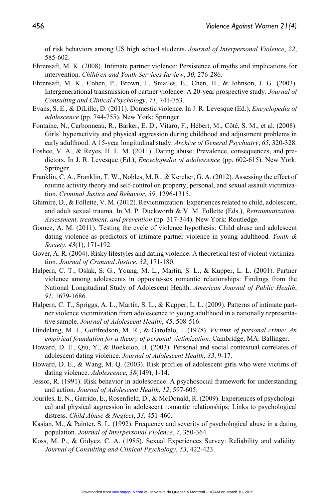of risk behaviors among US high school students. *Journal of Interpersonal Violence*, *22*, 585-602.

- Ehrensaft, M. K. (2008). Intimate partner violence: Persistence of myths and implications for intervention. *Children and Youth Services Review*, *30*, 276-286.
- Ehrensaft, M. K., Cohen, P., Brown, J., Smailes, E., Chen, H., & Johnson, J. G. (2003). Intergenerational transmission of partner violence: A 20-year prospective study. *Journal of Consulting and Clinical Psychology*, *71*, 741-753.
- Evans, S. E., & DiLillo, D. (2011). Domestic violence. In J. R. Levesque (Ed.), *Encyclopedia of adolescence* (pp. 744-755). New York: Springer.
- Fontaine, N., Carbonneau, R., Barker, E. D., Vitaro, F., Hébert, M., Côté, S. M., et al. (2008). Girls' hyperactivity and physical aggression during childhood and adjustment problems in early adulthood: A 15-year longitudinal study. *Archive of General Psychiatry*, *65*, 320-328.
- Foshee, V. A., & Reyes, H. L. M. (2011). Dating abuse: Prevalence, consequences, and predictors. In J. R. Levesque (Ed.), *Encyclopedia of adolescence* (pp. 602-615). New York: Springer.
- Franklin, C. A., Franklin, T. W., Nobles, M. R., & Kercher, G. A. (2012). Assessing the effect of routine activity theory and self-control on property, personal, and sexual assault victimization. *Criminal Justice and Behavior*, *39*, 1296-1315.
- Ghimire, D., & Follette, V. M. (2012). Revictimization: Experiences related to child, adolescent, and adult sexual trauma. In M. P. Duckworth & V. M. Follette (Eds.), *Retraumatization: Assessment, treatment, and prevention* (pp. 317-344). New York: Routledge.
- Gomez, A. M. (2011). Testing the cycle of violence hypothesis: Child abuse and adolescent dating violence as predictors of intimate partner violence in young adulthood. *Youth & Society*, *43*(1), 171-192.
- Gover, A. R. (2004). Risky lifestyles and dating violence: A theoretical test of violent victimization. *Journal of Criminal Justice*, *32*, 171-180.
- Halpern, C. T., Oslak, S. G., Young, M. L., Martin, S. L., & Kupper, L. L. (2001). Partner violence among adolescents in opposite-sex romantic relationships: Findings from the National Longitudinal Study of Adolescent Health. *American Journal of Public Health*, *91*, 1679-1686.
- Halpern, C. T., Spriggs, A. L., Martin, S. L., & Kupper, L. L. (2009). Patterns of intimate partner violence victimization from adolescence to young adulthood in a nationally representative sample. *Journal of Adolescent Health*, *45*, 508-516.
- Hindelang, M. J., Gottfredson, M. R., & Garofalo, J. (1978). *Victims of personal crime: An empirical foundation for a theory of personal victimization*. Cambridge, MA: Ballinger.
- Howard, D. E., Qiu, Y., & Boekeloo, B. (2003). Personal and social contextual correlates of adolescent dating violence. *Journal of Adolescent Health*, *33*, 9-17.
- Howard, D. E., & Wang, M. Q. (2003). Risk profiles of adolescent girls who were victims of dating violence. *Adolescence*, *38*(149), 1-14.
- Jessor, R. (1991). Risk behavior in adolescence: A psychosocial framework for understanding and action. *Journal of Adolescent Health*, *12*, 597-605.
- Jouriles, E. N., Garrido, E., Rosenfield, D., & McDonald, R. (2009). Experiences of psychological and physical aggression in adolescent romantic relationships: Links to psychological distress. *Child Abuse & Neglect*, *33*, 451-460.
- Kasian, M., & Painter, S. L. (1992). Frequency and severity of psychological abuse in a dating population. *Journal of Interpersonal Violence*, *7*, 350-364.
- Koss, M. P., & Gidycz, C. A. (1985). Sexual Experiences Survey: Reliability and validity. *Journal of Consulting and Clinical Psychology*, *53*, 422-423.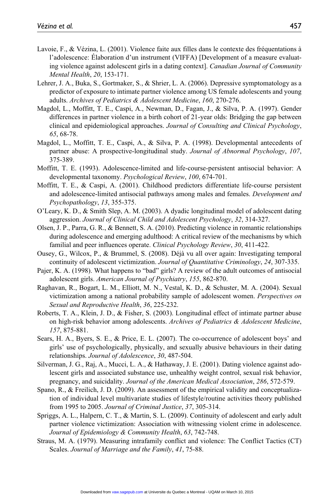- Lavoie, F., & Vézina, L. (2001). Violence faite aux filles dans le contexte des fréquentations à l'adolescence: Élaboration d'un instrument (VIFFA) [Development of a measure evaluating violence against adolescent girls in a dating context]. *Canadian Journal of Community Mental Health*, *20*, 153-171.
- Lehrer, J. A., Buka, S., Gortmaker, S., & Shrier, L. A. (2006). Depressive symptomatology as a predictor of exposure to intimate partner violence among US female adolescents and young adults. *Archives of Pediatrics & Adolescent Medicine*, *160*, 270-276.
- Magdol, L., Moffitt, T. E., Caspi, A., Newman, D., Fagan, J., & Silva, P. A. (1997). Gender differences in partner violence in a birth cohort of 21-year olds: Bridging the gap between clinical and epidemiological approaches. *Journal of Consulting and Clinical Psychology*, *65*, 68-78.
- Magdol, L., Moffitt, T. E., Caspi, A., & Silva, P. A. (1998). Developmental antecedents of partner abuse: A prospective-longitudinal study. *Journal of Abnormal Psychology*, *107*, 375-389.
- Moffitt, T. E. (1993). Adolescence-limited and life-course-persistent antisocial behavior: A developmental taxonomy. *Psychological Review*, *100*, 674-701.
- Moffitt, T. E., & Caspi, A. (2001). Childhood predictors differentiate life-course persistent and adolescence-limited antisocial pathways among males and females. *Development and Psychopathology*, *13*, 355-375.
- O'Leary, K. D., & Smith Slep, A. M. (2003). A dyadic longitudinal model of adolescent dating aggression. *Journal of Clinical Child and Adolescent Psychology*, *32*, 314-327.
- Olsen, J. P., Parra, G. R., & Bennett, S. A. (2010). Predicting violence in romantic relationships during adolescence and emerging adulthood: A critical review of the mechanisms by which familial and peer influences operate. *Clinical Psychology Review*, *30*, 411-422.
- Ousey, G., Wilcox, P., & Brummel, S. (2008). Déjà vu all over again: Investigating temporal continuity of adolescent victimization. *Journal of Quantitative Criminology*, *24*, 307-335.
- Pajer, K. A. (1998). What happens to "bad" girls? A review of the adult outcomes of antisocial adolescent girls. *American Journal of Psychiatry*, *155*, 862-870.
- Raghavan, R., Bogart, L. M., Elliott, M. N., Vestal, K. D., & Schuster, M. A. (2004). Sexual victimization among a national probability sample of adolescent women. *Perspectives on Sexual and Reproductive Health*, *36*, 225-232.
- Roberts, T. A., Klein, J. D., & Fisher, S. (2003). Longitudinal effect of intimate partner abuse on high-risk behavior among adolescents. *Archives of Pediatrics & Adolescent Medicine*, *157*, 875-881.
- Sears, H. A., Byers, S. E., & Price, E. L. (2007). The co-occurrence of adolescent boys' and girls' use of psychologically, physically, and sexually abusive behaviours in their dating relationships. *Journal of Adolescence*, *30*, 487-504.
- Silverman, J. G., Raj, A., Mucci, L. A., & Hathaway, J. E. (2001). Dating violence against adolescent girls and associated substance use, unhealthy weight control, sexual risk behavior, pregnancy, and suicidality. *Journal of the American Medical Association*, *286*, 572-579.
- Spano, R., & Freilich, J. D. (2009). An assessment of the empirical validity and conceptualization of individual level multivariate studies of lifestyle/routine activities theory published from 1995 to 2005. *Journal of Criminal Justice*, *37*, 305-314.
- Spriggs, A. L., Halpern, C. T., & Martin, S. L. (2009). Continuity of adolescent and early adult partner violence victimization: Association with witnessing violent crime in adolescence. *Journal of Epidemiology & Community Health*, *63*, 742-748.
- Straus, M. A. (1979). Measuring intrafamily conflict and violence: The Conflict Tactics (CT) Scales. *Journal of Marriage and the Family*, *41*, 75-88.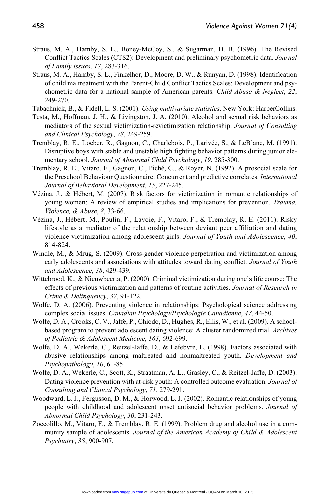- Straus, M. A., Hamby, S. L., Boney-McCoy, S., & Sugarman, D. B. (1996). The Revised Conflict Tactics Scales (CTS2): Development and preliminary psychometric data. *Journal of Family Issues*, *17*, 283-316.
- Straus, M. A., Hamby, S. L., Finkelhor, D., Moore, D. W., & Runyan, D. (1998). Identification of child maltreatment with the Parent-Child Conflict Tactics Scales: Development and psychometric data for a national sample of American parents. *Child Abuse & Neglect*, *22*, 249-270.
- Tabachnick, B., & Fidell, L. S. (2001). *Using multivariate statistics*. New York: HarperCollins.
- Testa, M., Hoffman, J. H., & Livingston, J. A. (2010). Alcohol and sexual risk behaviors as mediators of the sexual victimization-revictimization relationship. *Journal of Consulting and Clinical Psychology*, *78*, 249-259.
- Tremblay, R. E., Loeber, R., Gagnon, C., Charlebois, P., Larivée, S., & LeBlanc, M. (1991). Disruptive boys with stable and unstable high fighting behavior patterns during junior elementary school. *Journal of Abnormal Child Psychology*, *19*, 285-300.
- Tremblay, R. E., Vitaro, F., Gagnon, C., Piché, C., & Royer, N. (1992). A prosocial scale for the Preschool Behaviour Questionnaire: Concurrent and predictive correlates. *International Journal of Behavioral Development*, *15*, 227-245.
- Vézina, J., & Hébert, M. (2007). Risk factors for victimization in romantic relationships of young women: A review of empirical studies and implications for prevention. *Trauma, Violence, & Abuse*, *8*, 33-66.
- Vézina, J., Hébert, M., Poulin, F., Lavoie, F., Vitaro, F., & Tremblay, R. E. (2011). Risky lifestyle as a mediator of the relationship between deviant peer affiliation and dating violence victimization among adolescent girls. *Journal of Youth and Adolescence*, *40*, 814-824.
- Windle, M., & Mrug, S. (2009). Cross-gender violence perpetration and victimization among early adolescents and associations with attitudes toward dating conflict. *Journal of Youth and Adolescence*, *38*, 429-439.
- Wittebrood, K., & Nieuwbeerta, P. (2000). Criminal victimization during one's life course: The effects of previous victimization and patterns of routine activities. *Journal of Research in Crime & Delinquency*, *37*, 91-122.
- Wolfe, D. A. (2006). Preventing violence in relationships: Psychological science addressing complex social issues. *Canadian Psychology/Psychologie Canadienne*, *47*, 44-50.
- Wolfe, D. A., Crooks, C. V., Jaffe, P., Chiodo, D., Hughes, R., Ellis, W., et al. (2009). A schoolbased program to prevent adolescent dating violence: A cluster randomized trial. *Archives of Pediatric & Adolescent Medicine*, *163*, 692-699.
- Wolfe, D. A., Wekerle, C., Reitzel-Jaffe, D., & Lefebvre, L. (1998). Factors associated with abusive relationships among maltreated and nonmaltreated youth. *Development and Psychopathology*, *10*, 61-85.
- Wolfe, D. A., Wekerle, C., Scott, K., Straatman, A. L., Grasley, C., & Reitzel-Jaffe, D. (2003). Dating violence prevention with at-risk youth: A controlled outcome evaluation. *Journal of Consulting and Clinical Psychology*, *71*, 279-291.
- Woodward, L. J., Fergusson, D. M., & Horwood, L. J. (2002). Romantic relationships of young people with childhood and adolescent onset antisocial behavior problems. *Journal of Abnormal Child Psychology*, *30*, 231-243.
- Zoccolillo, M., Vitaro, F., & Tremblay, R. E. (1999). Problem drug and alcohol use in a community sample of adolescents. *Journal of the American Academy of Child & Adolescent Psychiatry*, *38*, 900-907.